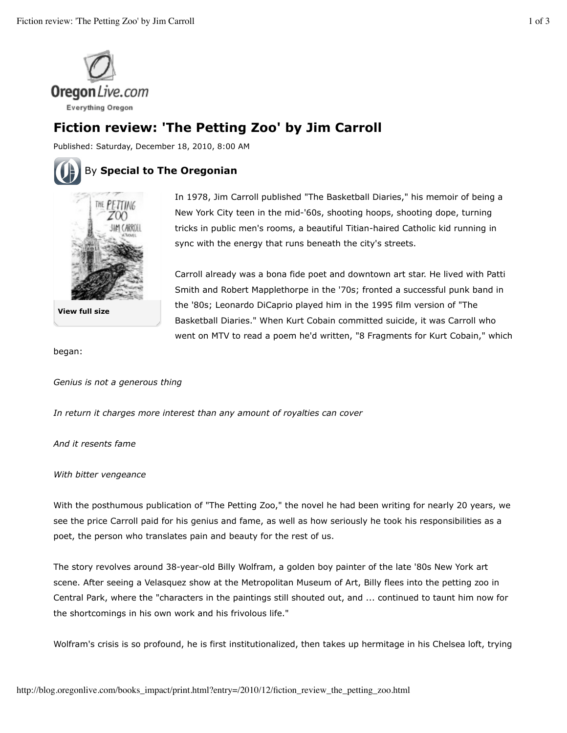

## **Fiction review: 'The Petting Zoo' by Jim Carroll**

Published: Saturday, December 18, 2010, 8:00 AM

## By **Special to The Oregonian**



**View full size**

In 1978, Jim Carroll published "The Basketball Diaries," his memoir of being a New York City teen in the mid-'60s, shooting hoops, shooting dope, turning tricks in public men's rooms, a beautiful Titian-haired Catholic kid running in sync with the energy that runs beneath the city's streets.

Carroll already was a bona fide poet and downtown art star. He lived with Patti Smith and Robert Mapplethorpe in the '70s; fronted a successful punk band in the '80s; Leonardo DiCaprio played him in the 1995 film version of "The Basketball Diaries." When Kurt Cobain committed suicide, it was Carroll who went on MTV to read a poem he'd written, "8 Fragments for Kurt Cobain," which

began:

*Genius is not a generous thing*

*In return it charges more interest than any amount of royalties can cover*

*And it resents fame*

*With bitter vengeance*

With the posthumous publication of "The Petting Zoo," the novel he had been writing for nearly 20 years, we see the price Carroll paid for his genius and fame, as well as how seriously he took his responsibilities as a poet, the person who translates pain and beauty for the rest of us.

The story revolves around 38-year-old Billy Wolfram, a golden boy painter of the late '80s New York art scene. After seeing a Velasquez show at the Metropolitan Museum of Art, Billy flees into the petting zoo in Central Park, where the "characters in the paintings still shouted out, and ... continued to taunt him now for the shortcomings in his own work and his frivolous life."

Wolfram's crisis is so profound, he is first institutionalized, then takes up hermitage in his Chelsea loft, trying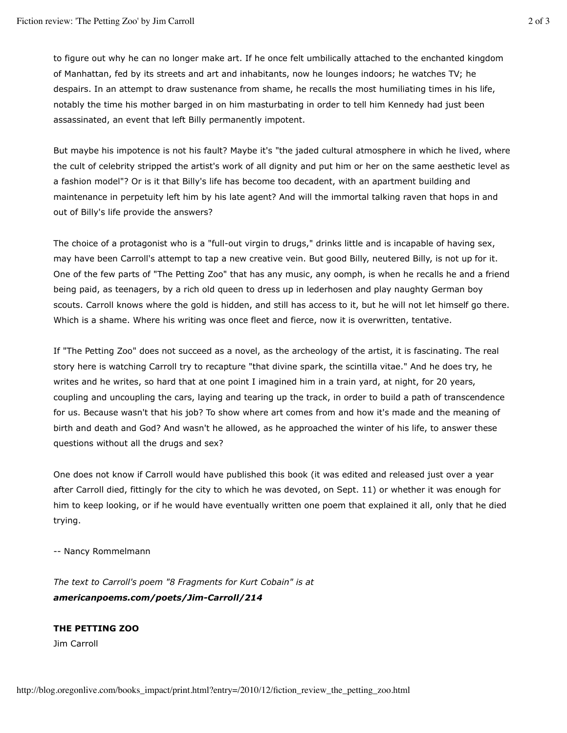to figure out why he can no longer make art. If he once felt umbilically attached to the enchanted kingdom of Manhattan, fed by its streets and art and inhabitants, now he lounges indoors; he watches TV; he despairs. In an attempt to draw sustenance from shame, he recalls the most humiliating times in his life, notably the time his mother barged in on him masturbating in order to tell him Kennedy had just been assassinated, an event that left Billy permanently impotent.

But maybe his impotence is not his fault? Maybe it's "the jaded cultural atmosphere in which he lived, where the cult of celebrity stripped the artist's work of all dignity and put him or her on the same aesthetic level as a fashion model"? Or is it that Billy's life has become too decadent, with an apartment building and maintenance in perpetuity left him by his late agent? And will the immortal talking raven that hops in and out of Billy's life provide the answers?

The choice of a protagonist who is a "full-out virgin to drugs," drinks little and is incapable of having sex, may have been Carroll's attempt to tap a new creative vein. But good Billy, neutered Billy, is not up for it. One of the few parts of "The Petting Zoo" that has any music, any oomph, is when he recalls he and a friend being paid, as teenagers, by a rich old queen to dress up in lederhosen and play naughty German boy scouts. Carroll knows where the gold is hidden, and still has access to it, but he will not let himself go there. Which is a shame. Where his writing was once fleet and fierce, now it is overwritten, tentative.

If "The Petting Zoo" does not succeed as a novel, as the archeology of the artist, it is fascinating. The real story here is watching Carroll try to recapture "that divine spark, the scintilla vitae." And he does try, he writes and he writes, so hard that at one point I imagined him in a train yard, at night, for 20 years, coupling and uncoupling the cars, laying and tearing up the track, in order to build a path of transcendence for us. Because wasn't that his job? To show where art comes from and how it's made and the meaning of birth and death and God? And wasn't he allowed, as he approached the winter of his life, to answer these questions without all the drugs and sex?

One does not know if Carroll would have published this book (it was edited and released just over a year after Carroll died, fittingly for the city to which he was devoted, on Sept. 11) or whether it was enough for him to keep looking, or if he would have eventually written one poem that explained it all, only that he died trying.

-- Nancy Rommelmann

*The text to Carroll's poem "8 Fragments for Kurt Cobain" is at americanpoems.com/poets/Jim-Carroll/214*

## **THE PETTING ZOO**

Jim Carroll